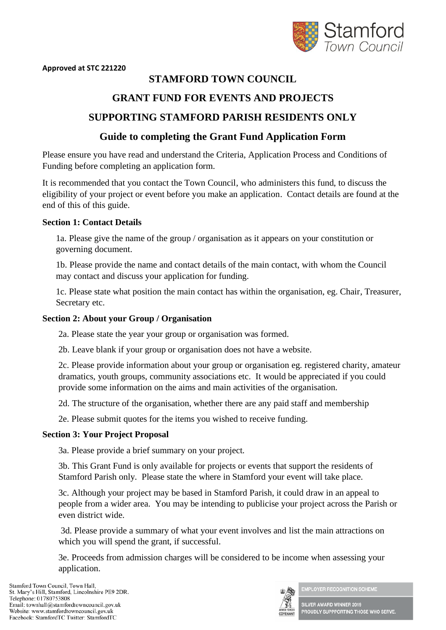

#### **Approved at STC 221220**

# **STAMFORD TOWN COUNCIL**

## **GRANT FUND FOR EVENTS AND PROJECTS**

# **SUPPORTING STAMFORD PARISH RESIDENTS ONLY**

## **Guide to completing the Grant Fund Application Form**

Please ensure you have read and understand the Criteria, Application Process and Conditions of Funding before completing an application form.

It is recommended that you contact the Town Council, who administers this fund, to discuss the eligibility of your project or event before you make an application. Contact details are found at the end of this of this guide.

#### **Section 1: Contact Details**

1a. Please give the name of the group / organisation as it appears on your constitution or governing document.

1b. Please provide the name and contact details of the main contact, with whom the Council may contact and discuss your application for funding.

1c. Please state what position the main contact has within the organisation, eg. Chair, Treasurer, Secretary etc.

#### **Section 2: About your Group / Organisation**

2a. Please state the year your group or organisation was formed.

2b. Leave blank if your group or organisation does not have a website.

2c. Please provide information about your group or organisation eg. registered charity, amateur dramatics, youth groups, community associations etc. It would be appreciated if you could provide some information on the aims and main activities of the organisation.

2d. The structure of the organisation, whether there are any paid staff and membership

2e. Please submit quotes for the items you wished to receive funding.

### **Section 3: Your Project Proposal**

3a. Please provide a brief summary on your project.

3b. This Grant Fund is only available for projects or events that support the residents of Stamford Parish only. Please state the where in Stamford your event will take place.

3c. Although your project may be based in Stamford Parish, it could draw in an appeal to people from a wider area. You may be intending to publicise your project across the Parish or even district wide.

3d. Please provide a summary of what your event involves and list the main attractions on which you will spend the grant, if successful.

3e. Proceeds from admission charges will be considered to be income when assessing your application.

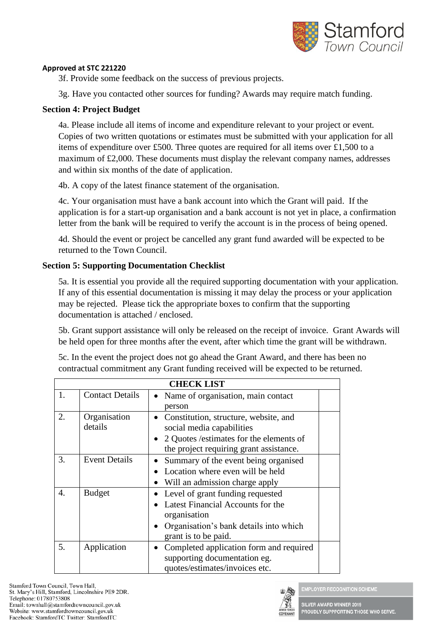

### **Approved at STC 221220**

3f. Provide some feedback on the success of previous projects.

3g. Have you contacted other sources for funding? Awards may require match funding.

## **Section 4: Project Budget**

4a. Please include all items of income and expenditure relevant to your project or event. Copies of two written quotations or estimates must be submitted with your application for all items of expenditure over £500. Three quotes are required for all items over £1,500 to a maximum of £2,000. These documents must display the relevant company names, addresses and within six months of the date of application.

4b. A copy of the latest finance statement of the organisation.

4c. Your organisation must have a bank account into which the Grant will paid. If the application is for a start-up organisation and a bank account is not yet in place, a confirmation letter from the bank will be required to verify the account is in the process of being opened.

4d. Should the event or project be cancelled any grant fund awarded will be expected to be returned to the Town Council.

## **Section 5: Supporting Documentation Checklist**

5a. It is essential you provide all the required supporting documentation with your application. If any of this essential documentation is missing it may delay the process or your application may be rejected. Please tick the appropriate boxes to confirm that the supporting documentation is attached / enclosed.

5b. Grant support assistance will only be released on the receipt of invoice. Grant Awards will be held open for three months after the event, after which time the grant will be withdrawn.

| 5c. In the event the project does not go ahead the Grant Award, and there has been no |
|---------------------------------------------------------------------------------------|
| contractual commitment any Grant funding received will be expected to be returned.    |

| <b>CHECK LIST</b> |                         |                                                                                                                                                             |  |  |  |
|-------------------|-------------------------|-------------------------------------------------------------------------------------------------------------------------------------------------------------|--|--|--|
| 1.                | <b>Contact Details</b>  | Name of organisation, main contact<br>person                                                                                                                |  |  |  |
| 2.                | Organisation<br>details | • Constitution, structure, website, and<br>social media capabilities<br>2 Quotes / estimates for the elements of<br>the project requiring grant assistance. |  |  |  |
| 3.                | <b>Event Details</b>    | • Summary of the event being organised<br>Location where even will be held<br>• Will an admission charge apply                                              |  |  |  |
| $\overline{4}$ .  | <b>Budget</b>           | Level of grant funding requested<br>Latest Financial Accounts for the<br>organisation<br>Organisation's bank details into which<br>grant is to be paid.     |  |  |  |
| 5.                | Application             | Completed application form and required<br>supporting documentation eg.<br>quotes/estimates/invoices etc.                                                   |  |  |  |



MPLOYER RECOGNITION SCHEME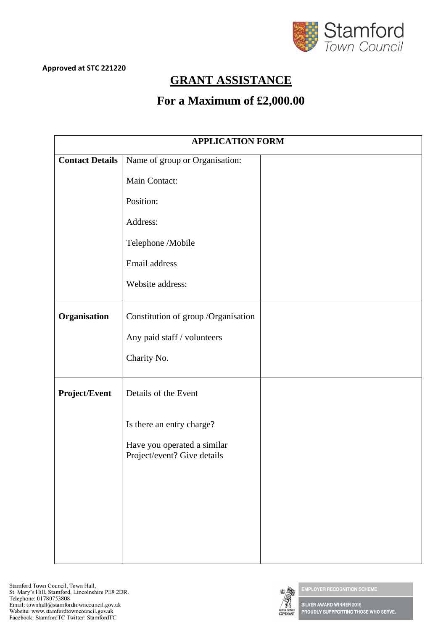

# **GRANT ASSISTANCE**

# **For a Maximum of £2,000.00**

| <b>APPLICATION FORM</b> |                                                            |  |  |  |  |
|-------------------------|------------------------------------------------------------|--|--|--|--|
| <b>Contact Details</b>  | Name of group or Organisation:                             |  |  |  |  |
|                         | Main Contact:                                              |  |  |  |  |
|                         | Position:                                                  |  |  |  |  |
|                         | Address:                                                   |  |  |  |  |
|                         | Telephone /Mobile                                          |  |  |  |  |
|                         | Email address                                              |  |  |  |  |
|                         | Website address:                                           |  |  |  |  |
| Organisation            | Constitution of group /Organisation                        |  |  |  |  |
|                         | Any paid staff / volunteers                                |  |  |  |  |
|                         | Charity No.                                                |  |  |  |  |
| Project/Event           | Details of the Event                                       |  |  |  |  |
|                         | Is there an entry charge?                                  |  |  |  |  |
|                         | Have you operated a similar<br>Project/event? Give details |  |  |  |  |
|                         |                                                            |  |  |  |  |
|                         |                                                            |  |  |  |  |
|                         |                                                            |  |  |  |  |
|                         |                                                            |  |  |  |  |
|                         |                                                            |  |  |  |  |



**EMPLOYER RECOGNITION SCHEME**